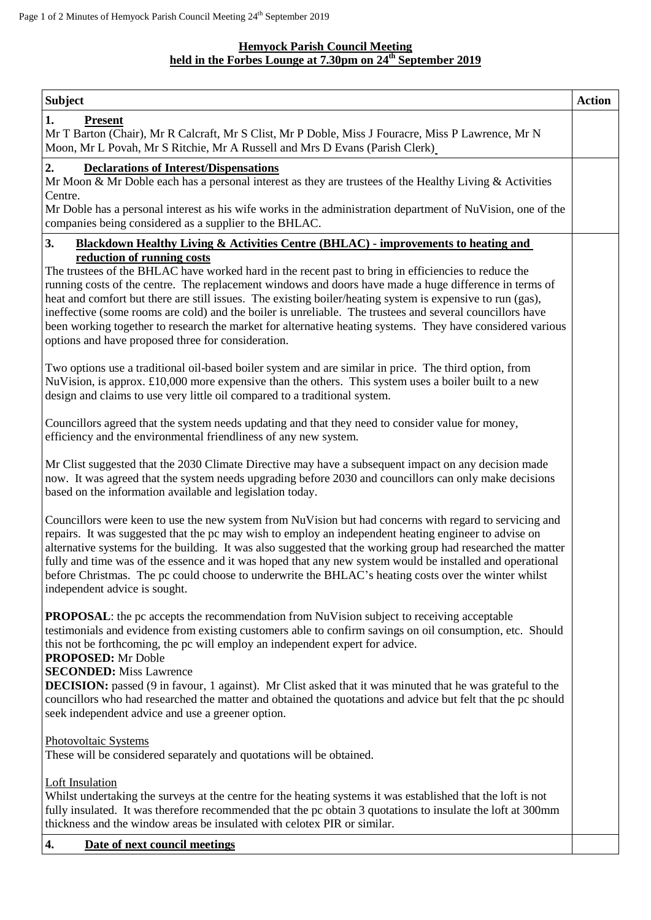## **Hemyock Parish Council Meeting held in the Forbes Lounge at 7.30pm on 24 th September 2019**

| <b>Subject</b>                                                                                                                                                                                                                                                                                                                                                                                                                                                                                                                                                                                                                              | <b>Action</b> |
|---------------------------------------------------------------------------------------------------------------------------------------------------------------------------------------------------------------------------------------------------------------------------------------------------------------------------------------------------------------------------------------------------------------------------------------------------------------------------------------------------------------------------------------------------------------------------------------------------------------------------------------------|---------------|
| 1.<br><b>Present</b><br>Mr T Barton (Chair), Mr R Calcraft, Mr S Clist, Mr P Doble, Miss J Fouracre, Miss P Lawrence, Mr N<br>Moon, Mr L Povah, Mr S Ritchie, Mr A Russell and Mrs D Evans (Parish Clerk)                                                                                                                                                                                                                                                                                                                                                                                                                                   |               |
| 2.<br><b>Declarations of Interest/Dispensations</b><br>Mr Moon & Mr Doble each has a personal interest as they are trustees of the Healthy Living & Activities<br>Centre.                                                                                                                                                                                                                                                                                                                                                                                                                                                                   |               |
| Mr Doble has a personal interest as his wife works in the administration department of NuVision, one of the<br>companies being considered as a supplier to the BHLAC.                                                                                                                                                                                                                                                                                                                                                                                                                                                                       |               |
| 3.<br>Blackdown Healthy Living & Activities Centre (BHLAC) - improvements to heating and                                                                                                                                                                                                                                                                                                                                                                                                                                                                                                                                                    |               |
| reduction of running costs<br>The trustees of the BHLAC have worked hard in the recent past to bring in efficiencies to reduce the<br>running costs of the centre. The replacement windows and doors have made a huge difference in terms of<br>heat and comfort but there are still issues. The existing boiler/heating system is expensive to run (gas),<br>ineffective (some rooms are cold) and the boiler is unreliable. The trustees and several councillors have<br>been working together to research the market for alternative heating systems. They have considered various<br>options and have proposed three for consideration. |               |
| Two options use a traditional oil-based boiler system and are similar in price. The third option, from<br>NuVision, is approx. £10,000 more expensive than the others. This system uses a boiler built to a new<br>design and claims to use very little oil compared to a traditional system.                                                                                                                                                                                                                                                                                                                                               |               |
| Councillors agreed that the system needs updating and that they need to consider value for money,<br>efficiency and the environmental friendliness of any new system.                                                                                                                                                                                                                                                                                                                                                                                                                                                                       |               |
| Mr Clist suggested that the 2030 Climate Directive may have a subsequent impact on any decision made<br>now. It was agreed that the system needs upgrading before 2030 and councillors can only make decisions<br>based on the information available and legislation today.                                                                                                                                                                                                                                                                                                                                                                 |               |
| Councillors were keen to use the new system from NuVision but had concerns with regard to servicing and<br>repairs. It was suggested that the pc may wish to employ an independent heating engineer to advise on<br>alternative systems for the building. It was also suggested that the working group had researched the matter<br>fully and time was of the essence and it was hoped that any new system would be installed and operational<br>before Christmas. The pc could choose to underwrite the BHLAC's heating costs over the winter whilst<br>independent advice is sought.                                                      |               |
| <b>PROPOSAL:</b> the pc accepts the recommendation from NuVision subject to receiving acceptable<br>testimonials and evidence from existing customers able to confirm savings on oil consumption, etc. Should<br>this not be forthcoming, the pc will employ an independent expert for advice.<br><b>PROPOSED:</b> Mr Doble                                                                                                                                                                                                                                                                                                                 |               |
| <b>SECONDED:</b> Miss Lawrence<br><b>DECISION:</b> passed (9 in favour, 1 against). Mr Clist asked that it was minuted that he was grateful to the<br>councillors who had researched the matter and obtained the quotations and advice but felt that the pc should<br>seek independent advice and use a greener option.                                                                                                                                                                                                                                                                                                                     |               |
| Photovoltaic Systems<br>These will be considered separately and quotations will be obtained.                                                                                                                                                                                                                                                                                                                                                                                                                                                                                                                                                |               |
| <b>Loft Insulation</b><br>Whilst undertaking the surveys at the centre for the heating systems it was established that the loft is not<br>fully insulated. It was therefore recommended that the pc obtain 3 quotations to insulate the loft at 300mm<br>thickness and the window areas be insulated with celotex PIR or similar.                                                                                                                                                                                                                                                                                                           |               |
| 4.<br>Date of next council meetings                                                                                                                                                                                                                                                                                                                                                                                                                                                                                                                                                                                                         |               |